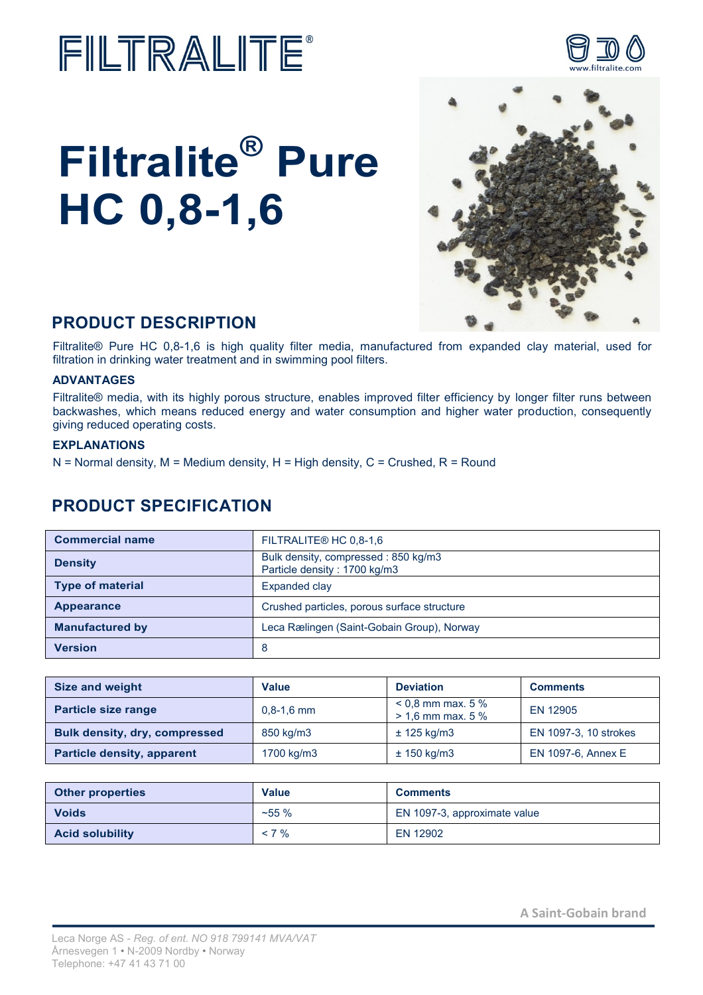## FILTRALITE®

# **Filtralite® Pure HC 0,8-1,6**



## **PRODUCT DESCRIPTION**

Filtralite® Pure HC 0,8-1,6 is high quality filter media, manufactured from expanded clay material, used for filtration in drinking water treatment and in swimming pool filters.

#### **ADVANTAGES**

Filtralite® media, with its highly porous structure, enables improved filter efficiency by longer filter runs between backwashes, which means reduced energy and water consumption and higher water production, consequently giving reduced operating costs.

#### **EXPLANATIONS**

 $N =$  Normal density, M = Medium density, H = High density, C = Crushed, R = Round

### **PRODUCT SPECIFICATION**

| <b>Commercial name</b>  | FILTRALITE® HC 0.8-1.6                                              |  |  |
|-------------------------|---------------------------------------------------------------------|--|--|
| <b>Density</b>          | Bulk density, compressed: 850 kg/m3<br>Particle density: 1700 kg/m3 |  |  |
| <b>Type of material</b> | Expanded clay                                                       |  |  |
| Appearance              | Crushed particles, porous surface structure                         |  |  |
| <b>Manufactured by</b>  | Leca Rælingen (Saint-Gobain Group), Norway                          |  |  |
| <b>Version</b>          | 8                                                                   |  |  |

| <b>Size and weight</b>               | <b>Value</b>   | <b>Deviation</b>                         | <b>Comments</b>       |  |
|--------------------------------------|----------------|------------------------------------------|-----------------------|--|
| <b>Particle size range</b>           | $0.8 - 1.6$ mm | $0.8$ mm max. 5 %<br>$> 1,6$ mm max. 5 % | EN 12905              |  |
| <b>Bulk density, dry, compressed</b> | 850 kg/m3      | $±$ 125 kg/m3                            | EN 1097-3, 10 strokes |  |
| <b>Particle density, apparent</b>    | 1700 kg/m3     | $\pm$ 150 kg/m3                          | EN 1097-6, Annex E    |  |

| <b>Other properties</b> | Value    | <b>Comments</b>              |
|-------------------------|----------|------------------------------|
| <b>Voids</b>            | $~155\%$ | EN 1097-3, approximate value |
| <b>Acid solubility</b>  | $< 7 \%$ | EN 12902                     |